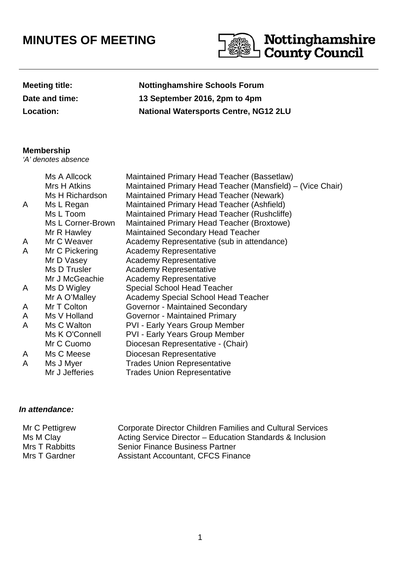## **MINUTES OF MEETING**



| <b>Meeting title:</b> |
|-----------------------|
| Date and time:        |
| Location:             |

## **Nottinghamshire Schools Forum Date and time: 13 September 2016, 2pm to 4pm Location: National Watersports Centre, NG12 2LU**

## **Membership**

'A' denotes absence

|   | Ms A Allcock      | Maintained Primary Head Teacher (Bassetlaw)                |
|---|-------------------|------------------------------------------------------------|
|   | Mrs H Atkins      | Maintained Primary Head Teacher (Mansfield) – (Vice Chair) |
|   | Ms H Richardson   | <b>Maintained Primary Head Teacher (Newark)</b>            |
| A | Ms L Regan        | Maintained Primary Head Teacher (Ashfield)                 |
|   | Ms L Toom         | Maintained Primary Head Teacher (Rushcliffe)               |
|   | Ms L Corner-Brown | Maintained Primary Head Teacher (Broxtowe)                 |
|   | Mr R Hawley       | <b>Maintained Secondary Head Teacher</b>                   |
| A | Mr C Weaver       | Academy Representative (sub in attendance)                 |
| A | Mr C Pickering    | <b>Academy Representative</b>                              |
|   | Mr D Vasey        | <b>Academy Representative</b>                              |
|   | Ms D Trusler      | <b>Academy Representative</b>                              |
|   | Mr J McGeachie    | <b>Academy Representative</b>                              |
| A | Ms D Wigley       | <b>Special School Head Teacher</b>                         |
|   | Mr A O'Malley     | <b>Academy Special School Head Teacher</b>                 |
| A | Mr T Colton       | Governor - Maintained Secondary                            |
| A | Ms V Holland      | Governor - Maintained Primary                              |
| A | Ms C Walton       | <b>PVI - Early Years Group Member</b>                      |
|   | Ms K O'Connell    | <b>PVI - Early Years Group Member</b>                      |
|   | Mr C Cuomo        | Diocesan Representative - (Chair)                          |
| A | Ms C Meese        | Diocesan Representative                                    |
| A | Ms J Myer         | <b>Trades Union Representative</b>                         |
|   | Mr J Jefferies    | <b>Trades Union Representative</b>                         |

## **In attendance:**

| Mr C Pettigrew | <b>Corporate Director Children Families and Cultural Services</b> |
|----------------|-------------------------------------------------------------------|
| Ms M Clay      | Acting Service Director – Education Standards & Inclusion         |
| Mrs T Rabbitts | <b>Senior Finance Business Partner</b>                            |
| Mrs T Gardner  | <b>Assistant Accountant, CFCS Finance</b>                         |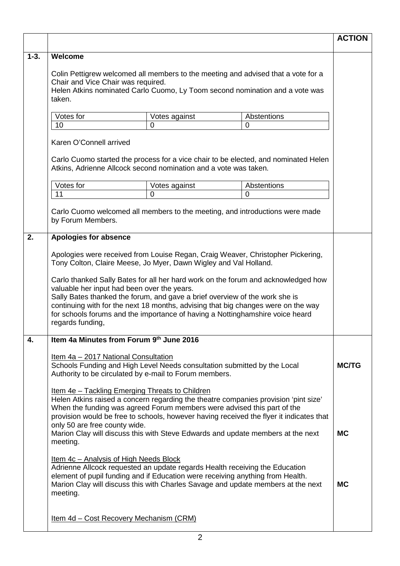|          |                                                                                                                                                                                                                                                                                                                                                                                                                                                                                                                                                                  |                                                                                                                                                                                                         |                                                                                  | <b>ACTION</b> |  |
|----------|------------------------------------------------------------------------------------------------------------------------------------------------------------------------------------------------------------------------------------------------------------------------------------------------------------------------------------------------------------------------------------------------------------------------------------------------------------------------------------------------------------------------------------------------------------------|---------------------------------------------------------------------------------------------------------------------------------------------------------------------------------------------------------|----------------------------------------------------------------------------------|---------------|--|
| $1 - 3.$ | Welcome                                                                                                                                                                                                                                                                                                                                                                                                                                                                                                                                                          |                                                                                                                                                                                                         |                                                                                  |               |  |
|          | Colin Pettigrew welcomed all members to the meeting and advised that a vote for a<br>Chair and Vice Chair was required.<br>Helen Atkins nominated Carlo Cuomo, Ly Toom second nomination and a vote was<br>taken.                                                                                                                                                                                                                                                                                                                                                |                                                                                                                                                                                                         |                                                                                  |               |  |
|          | Votes for<br>Abstentions<br>Votes against                                                                                                                                                                                                                                                                                                                                                                                                                                                                                                                        |                                                                                                                                                                                                         |                                                                                  |               |  |
|          | 10<br>$\Omega$<br>$\Omega$                                                                                                                                                                                                                                                                                                                                                                                                                                                                                                                                       |                                                                                                                                                                                                         |                                                                                  |               |  |
|          | Karen O'Connell arrived                                                                                                                                                                                                                                                                                                                                                                                                                                                                                                                                          |                                                                                                                                                                                                         |                                                                                  |               |  |
|          | Carlo Cuomo started the process for a vice chair to be elected, and nominated Helen<br>Atkins, Adrienne Allcock second nomination and a vote was taken.                                                                                                                                                                                                                                                                                                                                                                                                          |                                                                                                                                                                                                         |                                                                                  |               |  |
|          | Votes for                                                                                                                                                                                                                                                                                                                                                                                                                                                                                                                                                        | Votes against                                                                                                                                                                                           | Abstentions                                                                      |               |  |
|          | 11                                                                                                                                                                                                                                                                                                                                                                                                                                                                                                                                                               | $\overline{0}$                                                                                                                                                                                          | $\mathbf 0$                                                                      |               |  |
|          | by Forum Members.                                                                                                                                                                                                                                                                                                                                                                                                                                                                                                                                                |                                                                                                                                                                                                         | Carlo Cuomo welcomed all members to the meeting, and introductions were made     |               |  |
| 2.       | Apologies for absence                                                                                                                                                                                                                                                                                                                                                                                                                                                                                                                                            |                                                                                                                                                                                                         |                                                                                  |               |  |
|          | Apologies were received from Louise Regan, Craig Weaver, Christopher Pickering,<br>Tony Colton, Claire Meese, Jo Myer, Dawn Wigley and Val Holland.<br>Carlo thanked Sally Bates for all her hard work on the forum and acknowledged how<br>valuable her input had been over the years.<br>Sally Bates thanked the forum, and gave a brief overview of the work she is<br>continuing with for the next 18 months, advising that big changes were on the way<br>for schools forums and the importance of having a Nottinghamshire voice heard<br>regards funding, |                                                                                                                                                                                                         |                                                                                  |               |  |
| 4.       |                                                                                                                                                                                                                                                                                                                                                                                                                                                                                                                                                                  | Item 4a Minutes from Forum 9th June 2016                                                                                                                                                                |                                                                                  |               |  |
|          | Item 4a - 2017 National Consultation<br>Schools Funding and High Level Needs consultation submitted by the Local<br>Authority to be circulated by e-mail to Forum members.                                                                                                                                                                                                                                                                                                                                                                                       |                                                                                                                                                                                                         |                                                                                  | <b>MC/TG</b>  |  |
|          | <u>Item 4e - Tackling Emerging Threats to Children</u><br>Helen Atkins raised a concern regarding the theatre companies provision 'pint size'<br>When the funding was agreed Forum members were advised this part of the<br>provision would be free to schools, however having received the flyer it indicates that<br>only 50 are free county wide.<br>Marion Clay will discuss this with Steve Edwards and update members at the next                                                                                                                          |                                                                                                                                                                                                         |                                                                                  | <b>MC</b>     |  |
|          | meeting.                                                                                                                                                                                                                                                                                                                                                                                                                                                                                                                                                         |                                                                                                                                                                                                         |                                                                                  |               |  |
|          | meeting.                                                                                                                                                                                                                                                                                                                                                                                                                                                                                                                                                         | Item 4c – Analysis of High Needs Block<br>Adrienne Allcock requested an update regards Health receiving the Education<br>element of pupil funding and if Education were receiving anything from Health. | Marion Clay will discuss this with Charles Savage and update members at the next | <b>MC</b>     |  |
|          |                                                                                                                                                                                                                                                                                                                                                                                                                                                                                                                                                                  | <u>Item 4d - Cost Recovery Mechanism (CRM)</u>                                                                                                                                                          |                                                                                  |               |  |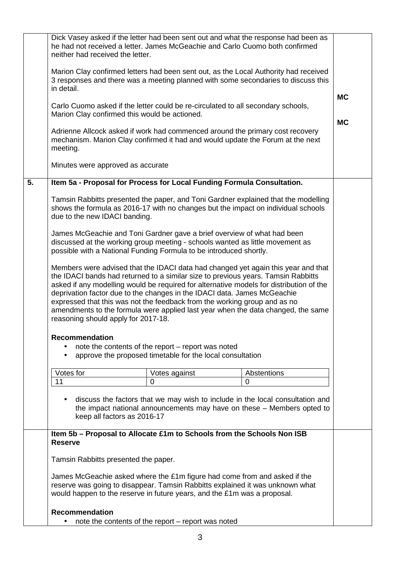|    | Dick Vasey asked if the letter had been sent out and what the response had been as<br>he had not received a letter. James McGeachie and Carlo Cuomo both confirmed<br>neither had received the letter.                                                                                                                                                                                                                                                                                                                                                |                        |  |  |
|----|-------------------------------------------------------------------------------------------------------------------------------------------------------------------------------------------------------------------------------------------------------------------------------------------------------------------------------------------------------------------------------------------------------------------------------------------------------------------------------------------------------------------------------------------------------|------------------------|--|--|
|    | Marion Clay confirmed letters had been sent out, as the Local Authority had received<br>3 responses and there was a meeting planned with some secondaries to discuss this<br>in detail.                                                                                                                                                                                                                                                                                                                                                               |                        |  |  |
|    | Carlo Cuomo asked if the letter could be re-circulated to all secondary schools,<br>Marion Clay confirmed this would be actioned.                                                                                                                                                                                                                                                                                                                                                                                                                     | <b>MC</b><br><b>MC</b> |  |  |
|    | Adrienne Allcock asked if work had commenced around the primary cost recovery<br>mechanism. Marion Clay confirmed it had and would update the Forum at the next<br>meeting.                                                                                                                                                                                                                                                                                                                                                                           |                        |  |  |
|    | Minutes were approved as accurate                                                                                                                                                                                                                                                                                                                                                                                                                                                                                                                     |                        |  |  |
| 5. | Item 5a - Proposal for Process for Local Funding Formula Consultation.                                                                                                                                                                                                                                                                                                                                                                                                                                                                                |                        |  |  |
|    | Tamsin Rabbitts presented the paper, and Toni Gardner explained that the modelling<br>shows the formula as 2016-17 with no changes but the impact on individual schools<br>due to the new IDACI banding.                                                                                                                                                                                                                                                                                                                                              |                        |  |  |
|    | James McGeachie and Toni Gardner gave a brief overview of what had been<br>discussed at the working group meeting - schools wanted as little movement as<br>possible with a National Funding Formula to be introduced shortly.                                                                                                                                                                                                                                                                                                                        |                        |  |  |
|    | Members were advised that the IDACI data had changed yet again this year and that<br>the IDACI bands had returned to a similar size to previous years. Tamsin Rabbitts<br>asked if any modelling would be required for alternative models for distribution of the<br>deprivation factor due to the changes in the IDACI data. James McGeachie<br>expressed that this was not the feedback from the working group and as no<br>amendments to the formula were applied last year when the data changed, the same<br>reasoning should apply for 2017-18. |                        |  |  |
|    | <b>Recommendation</b><br>note the contents of the report – report was noted<br>approve the proposed timetable for the local consultation                                                                                                                                                                                                                                                                                                                                                                                                              |                        |  |  |
|    | Votes for<br>Abstentions                                                                                                                                                                                                                                                                                                                                                                                                                                                                                                                              |                        |  |  |
|    | Votes against<br>11<br>$\overline{0}$<br>$\mathbf 0$                                                                                                                                                                                                                                                                                                                                                                                                                                                                                                  |                        |  |  |
|    | discuss the factors that we may wish to include in the local consultation and<br>the impact national announcements may have on these - Members opted to<br>keep all factors as 2016-17                                                                                                                                                                                                                                                                                                                                                                |                        |  |  |
|    | Item 5b - Proposal to Allocate £1m to Schools from the Schools Non ISB<br><b>Reserve</b>                                                                                                                                                                                                                                                                                                                                                                                                                                                              |                        |  |  |
|    | Tamsin Rabbitts presented the paper.                                                                                                                                                                                                                                                                                                                                                                                                                                                                                                                  |                        |  |  |
|    | James McGeachie asked where the £1m figure had come from and asked if the<br>reserve was going to disappear. Tamsin Rabbitts explained it was unknown what<br>would happen to the reserve in future years, and the £1m was a proposal.                                                                                                                                                                                                                                                                                                                |                        |  |  |
|    | <b>Recommendation</b>                                                                                                                                                                                                                                                                                                                                                                                                                                                                                                                                 |                        |  |  |
|    | note the contents of the report - report was noted                                                                                                                                                                                                                                                                                                                                                                                                                                                                                                    |                        |  |  |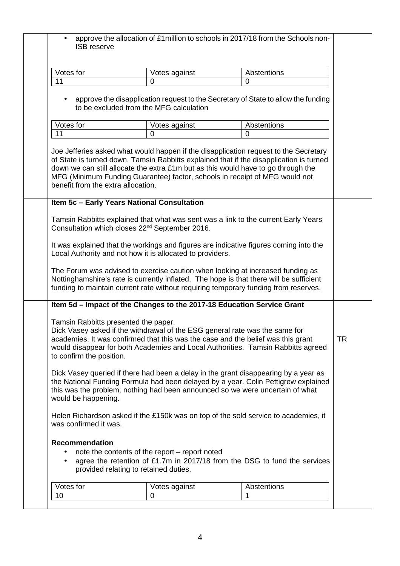| Votes for                                                        |                                                                                                                                                                                                                 |                                                                                                                                                                                                                                                                  |           |
|------------------------------------------------------------------|-----------------------------------------------------------------------------------------------------------------------------------------------------------------------------------------------------------------|------------------------------------------------------------------------------------------------------------------------------------------------------------------------------------------------------------------------------------------------------------------|-----------|
|                                                                  | Votes against                                                                                                                                                                                                   | Abstentions                                                                                                                                                                                                                                                      |           |
| 11                                                               | 0                                                                                                                                                                                                               | $\Omega$                                                                                                                                                                                                                                                         |           |
|                                                                  | to be excluded from the MFG calculation                                                                                                                                                                         | approve the disapplication request to the Secretary of State to allow the funding                                                                                                                                                                                |           |
| Votes for                                                        | Votes against                                                                                                                                                                                                   | Abstentions                                                                                                                                                                                                                                                      |           |
| 11                                                               | 0                                                                                                                                                                                                               | $\overline{0}$                                                                                                                                                                                                                                                   |           |
| benefit from the extra allocation.                               | down we can still allocate the extra £1m but as this would have to go through the<br>MFG (Minimum Funding Guarantee) factor, schools in receipt of MFG would not<br>Item 5c - Early Years National Consultation | Joe Jefferies asked what would happen if the disapplication request to the Secretary<br>of State is turned down. Tamsin Rabbitts explained that if the disapplication is turned                                                                                  |           |
|                                                                  | Consultation which closes 22 <sup>nd</sup> September 2016.<br>Local Authority and not how it is allocated to providers.                                                                                         | Tamsin Rabbitts explained that what was sent was a link to the current Early Years<br>It was explained that the workings and figures are indicative figures coming into the                                                                                      |           |
|                                                                  |                                                                                                                                                                                                                 | The Forum was advised to exercise caution when looking at increased funding as<br>Nottinghamshire's rate is currently inflated. The hope is that there will be sufficient<br>funding to maintain current rate without requiring temporary funding from reserves. |           |
|                                                                  | Item 5d - Impact of the Changes to the 2017-18 Education Service Grant                                                                                                                                          |                                                                                                                                                                                                                                                                  |           |
| Tamsin Rabbitts presented the paper.<br>to confirm the position. | Dick Vasey asked if the withdrawal of the ESG general rate was the same for<br>academies. It was confirmed that this was the case and the belief was this grant                                                 | would disappear for both Academies and Local Authorities. Tamsin Rabbitts agreed                                                                                                                                                                                 | <b>TR</b> |
|                                                                  | Dick Vasey queried if there had been a delay in the grant disappearing by a year as                                                                                                                             |                                                                                                                                                                                                                                                                  |           |
| would be happening.                                              |                                                                                                                                                                                                                 | the National Funding Formula had been delayed by a year. Colin Pettigrew explained<br>this was the problem, nothing had been announced so we were uncertain of what                                                                                              |           |
| was confirmed it was.                                            |                                                                                                                                                                                                                 | Helen Richardson asked if the £150k was on top of the sold service to academies, it                                                                                                                                                                              |           |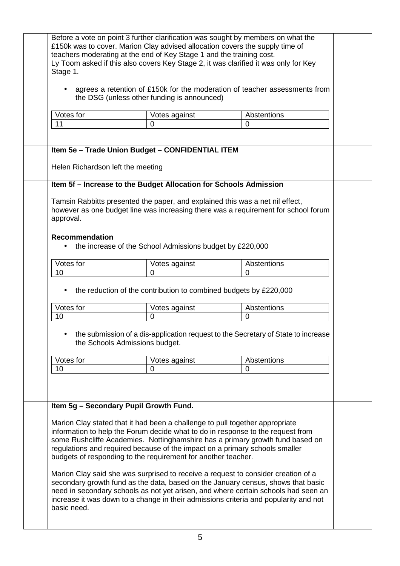| Before a vote on point 3 further clarification was sought by members on what the<br>£150k was to cover. Marion Clay advised allocation covers the supply time of<br>teachers moderating at the end of Key Stage 1 and the training cost.<br>Ly Toom asked if this also covers Key Stage 2, it was clarified it was only for Key<br>Stage 1. |                                                                                                                                                                                                                                                                                                                                                                                                                                                                                                                                                                                                                                                                                                                                                         |                    |  |
|---------------------------------------------------------------------------------------------------------------------------------------------------------------------------------------------------------------------------------------------------------------------------------------------------------------------------------------------|---------------------------------------------------------------------------------------------------------------------------------------------------------------------------------------------------------------------------------------------------------------------------------------------------------------------------------------------------------------------------------------------------------------------------------------------------------------------------------------------------------------------------------------------------------------------------------------------------------------------------------------------------------------------------------------------------------------------------------------------------------|--------------------|--|
| agrees a retention of £150k for the moderation of teacher assessments from<br>the DSG (unless other funding is announced)                                                                                                                                                                                                                   |                                                                                                                                                                                                                                                                                                                                                                                                                                                                                                                                                                                                                                                                                                                                                         |                    |  |
| Votes for                                                                                                                                                                                                                                                                                                                                   | Votes against                                                                                                                                                                                                                                                                                                                                                                                                                                                                                                                                                                                                                                                                                                                                           | Abstentions        |  |
| 11                                                                                                                                                                                                                                                                                                                                          | $\Omega$                                                                                                                                                                                                                                                                                                                                                                                                                                                                                                                                                                                                                                                                                                                                                | $\overline{0}$     |  |
|                                                                                                                                                                                                                                                                                                                                             | Item 5e - Trade Union Budget - CONFIDENTIAL ITEM                                                                                                                                                                                                                                                                                                                                                                                                                                                                                                                                                                                                                                                                                                        |                    |  |
| Helen Richardson left the meeting                                                                                                                                                                                                                                                                                                           | Item 5f - Increase to the Budget Allocation for Schools Admission                                                                                                                                                                                                                                                                                                                                                                                                                                                                                                                                                                                                                                                                                       |                    |  |
| Tamsin Rabbitts presented the paper, and explained this was a net nil effect,<br>however as one budget line was increasing there was a requirement for school forum<br>approval.<br><b>Recommendation</b><br>the increase of the School Admissions budget by £220,000                                                                       |                                                                                                                                                                                                                                                                                                                                                                                                                                                                                                                                                                                                                                                                                                                                                         |                    |  |
| Votes for                                                                                                                                                                                                                                                                                                                                   | Votes against                                                                                                                                                                                                                                                                                                                                                                                                                                                                                                                                                                                                                                                                                                                                           | Abstentions        |  |
| 10                                                                                                                                                                                                                                                                                                                                          | $\Omega$                                                                                                                                                                                                                                                                                                                                                                                                                                                                                                                                                                                                                                                                                                                                                | $\mathbf 0$        |  |
| Votes for                                                                                                                                                                                                                                                                                                                                   | the reduction of the contribution to combined budgets by £220,000<br>Votes against                                                                                                                                                                                                                                                                                                                                                                                                                                                                                                                                                                                                                                                                      | Abstentions        |  |
| 10<br>0<br>0<br>the submission of a dis-application request to the Secretary of State to increase<br>the Schools Admissions budget.                                                                                                                                                                                                         |                                                                                                                                                                                                                                                                                                                                                                                                                                                                                                                                                                                                                                                                                                                                                         |                    |  |
| Votes for                                                                                                                                                                                                                                                                                                                                   | Votes against                                                                                                                                                                                                                                                                                                                                                                                                                                                                                                                                                                                                                                                                                                                                           | <b>Abstentions</b> |  |
| 10<br>Item 5g - Secondary Pupil Growth Fund.                                                                                                                                                                                                                                                                                                | $\Omega$                                                                                                                                                                                                                                                                                                                                                                                                                                                                                                                                                                                                                                                                                                                                                | $\overline{0}$     |  |
| basic need.                                                                                                                                                                                                                                                                                                                                 | Marion Clay stated that it had been a challenge to pull together appropriate<br>information to help the Forum decide what to do in response to the request from<br>some Rushcliffe Academies. Nottinghamshire has a primary growth fund based on<br>regulations and required because of the impact on a primary schools smaller<br>budgets of responding to the requirement for another teacher.<br>Marion Clay said she was surprised to receive a request to consider creation of a<br>secondary growth fund as the data, based on the January census, shows that basic<br>need in secondary schools as not yet arisen, and where certain schools had seen an<br>increase it was down to a change in their admissions criteria and popularity and not |                    |  |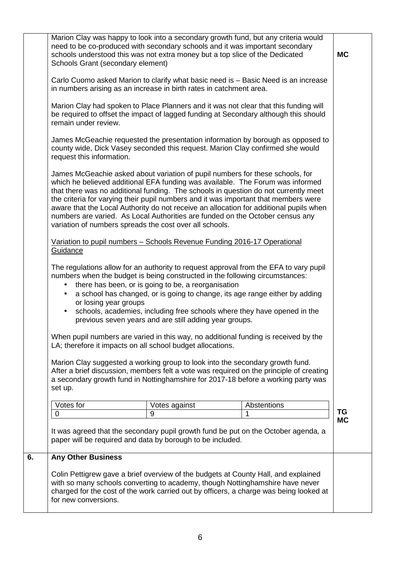|    | Marion Clay was happy to look into a secondary growth fund, but any criteria would<br>need to be co-produced with secondary schools and it was important secondary<br>schools understood this was not extra money but a top slice of the Dedicated<br>Schools Grant (secondary element)                                                                                                                                                                                                                                                                                             |                                                                                                                                                                                                                                                                          |             | <b>MC</b>       |
|----|-------------------------------------------------------------------------------------------------------------------------------------------------------------------------------------------------------------------------------------------------------------------------------------------------------------------------------------------------------------------------------------------------------------------------------------------------------------------------------------------------------------------------------------------------------------------------------------|--------------------------------------------------------------------------------------------------------------------------------------------------------------------------------------------------------------------------------------------------------------------------|-------------|-----------------|
|    | Carlo Cuomo asked Marion to clarify what basic need is - Basic Need is an increase<br>in numbers arising as an increase in birth rates in catchment area.                                                                                                                                                                                                                                                                                                                                                                                                                           |                                                                                                                                                                                                                                                                          |             |                 |
|    | Marion Clay had spoken to Place Planners and it was not clear that this funding will<br>be required to offset the impact of lagged funding at Secondary although this should<br>remain under review.                                                                                                                                                                                                                                                                                                                                                                                |                                                                                                                                                                                                                                                                          |             |                 |
|    | James McGeachie requested the presentation information by borough as opposed to<br>county wide, Dick Vasey seconded this request. Marion Clay confirmed she would<br>request this information.                                                                                                                                                                                                                                                                                                                                                                                      |                                                                                                                                                                                                                                                                          |             |                 |
|    | James McGeachie asked about variation of pupil numbers for these schools, for<br>which he believed additional EFA funding was available. The Forum was informed<br>that there was no additional funding. The schools in question do not currently meet<br>the criteria for varying their pupil numbers and it was important that members were<br>aware that the Local Authority do not receive an allocation for additional pupils when<br>numbers are varied. As Local Authorities are funded on the October census any<br>variation of numbers spreads the cost over all schools. |                                                                                                                                                                                                                                                                          |             |                 |
|    | Variation to pupil numbers - Schools Revenue Funding 2016-17 Operational<br>Guidance                                                                                                                                                                                                                                                                                                                                                                                                                                                                                                |                                                                                                                                                                                                                                                                          |             |                 |
|    | The regulations allow for an authority to request approval from the EFA to vary pupil<br>numbers when the budget is being constructed in the following circumstances:<br>$\bullet$<br>or losing year groups<br>$\bullet$                                                                                                                                                                                                                                                                                                                                                            | there has been, or is going to be, a reorganisation<br>a school has changed, or is going to change, its age range either by adding<br>schools, academies, including free schools where they have opened in the<br>previous seven years and are still adding year groups. |             |                 |
|    | When pupil numbers are varied in this way, no additional funding is received by the<br>LA; therefore it impacts on all school budget allocations.                                                                                                                                                                                                                                                                                                                                                                                                                                   |                                                                                                                                                                                                                                                                          |             |                 |
|    | Marion Clay suggested a working group to look into the secondary growth fund.<br>After a brief discussion, members felt a vote was required on the principle of creating<br>a secondary growth fund in Nottinghamshire for 2017-18 before a working party was<br>set up.                                                                                                                                                                                                                                                                                                            |                                                                                                                                                                                                                                                                          |             |                 |
|    | Votes for                                                                                                                                                                                                                                                                                                                                                                                                                                                                                                                                                                           | Votes against                                                                                                                                                                                                                                                            | Abstentions |                 |
|    | $\mathbf 0$                                                                                                                                                                                                                                                                                                                                                                                                                                                                                                                                                                         | 9                                                                                                                                                                                                                                                                        | 1           | TG<br><b>MC</b> |
|    | It was agreed that the secondary pupil growth fund be put on the October agenda, a<br>paper will be required and data by borough to be included.                                                                                                                                                                                                                                                                                                                                                                                                                                    |                                                                                                                                                                                                                                                                          |             |                 |
| 6. | <b>Any Other Business</b>                                                                                                                                                                                                                                                                                                                                                                                                                                                                                                                                                           |                                                                                                                                                                                                                                                                          |             |                 |
|    | Colin Pettigrew gave a brief overview of the budgets at County Hall, and explained<br>with so many schools converting to academy, though Nottinghamshire have never<br>charged for the cost of the work carried out by officers, a charge was being looked at<br>for new conversions.                                                                                                                                                                                                                                                                                               |                                                                                                                                                                                                                                                                          |             |                 |
|    |                                                                                                                                                                                                                                                                                                                                                                                                                                                                                                                                                                                     |                                                                                                                                                                                                                                                                          |             |                 |